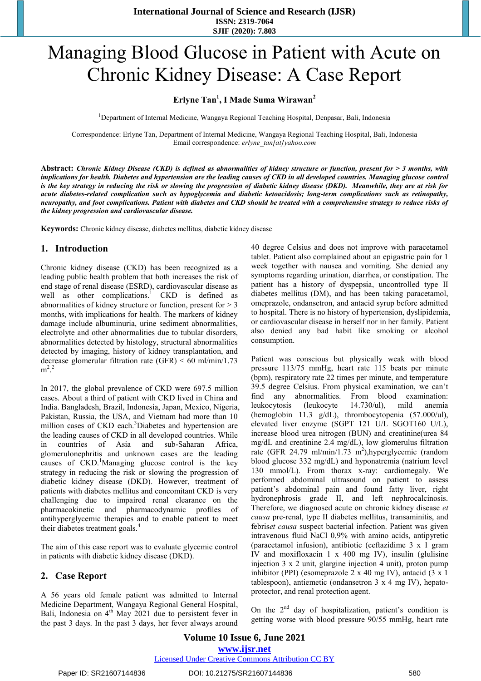# Managing Blood Glucose in Patient with Acute on Chronic Kidney Disease: A Case Report

## **Erlyne Tan<sup>1</sup> , I Made Suma Wirawan<sup>2</sup>**

<sup>1</sup>Department of Internal Medicine, Wangaya Regional Teaching Hospital, Denpasar, Bali, Indonesia

Correspondence: Erlyne Tan, Department of Internal Medicine, Wangaya Regional Teaching Hospital, Bali, Indonesia Email correspondence: *erlyne\_tan[at]yahoo.com*

**Abstract:** *Chronic Kidney Disease (CKD) is defined as abnormalities of kidney structure or function, present for > 3 months, with implications for health. Diabetes and hypertension are the leading causes of CKD in all developed countries. Managing glucose control is the key strategy in reducing the risk or slowing the progression of diabetic kidney disease (DKD). Meanwhile, they are at risk for acute diabetes-related complication such as hypoglycemia and diabetic ketoacidosis; long-term complications such as retinopathy, neuropathy, and foot complications. Patient with diabetes and CKD should be treated with a comprehensive strategy to reduce risks of the kidney progression and cardiovascular disease.*

**Keywords:** Chronic kidney disease, diabetes mellitus, diabetic kidney disease

### **1. Introduction**

Chronic kidney disease (CKD) has been recognized as a leading public health problem that both increases the risk of end stage of renal disease (ESRD), cardiovascular disease as well as other complications.<sup>1</sup> CKD is defined as abnormalities of kidney structure or function, present for > 3 months, with implications for health. The markers of kidney damage include albuminuria, urine sediment abnormalities, electrolyte and other abnormalities due to tubular disorders, abnormalities detected by histology, structural abnormalities detected by imaging, history of kidney transplantation, and decrease glomerular filtration rate (GFR) < 60 ml/min/1.73  $m^2$ <sup>2</sup>

In 2017, the global prevalence of CKD were 697.5 million cases. About a third of patient with CKD lived in China and India. Bangladesh, Brazil, Indonesia, Japan, Mexico, Nigeria, Pakistan, Russia, the USA, and Vietnam had more than 10 million cases of CKD each.<sup>3</sup>Diabetes and hypertension are the leading causes of CKD in all developed countries. While in countries of Asia and sub-Saharan Africa, glomerulonephritis and unknown cases are the leading causes of CKD.<sup>1</sup>Managing glucose control is the key strategy in reducing the risk or slowing the progression of diabetic kidney disease (DKD). However, treatment of patients with diabetes mellitus and concomitant CKD is very challenging due to impaired renal clearance on the pharmacokinetic and pharmacodynamic profiles of antihyperglycemic therapies and to enable patient to meet their diabetes treatment goals.<sup>4</sup>

The aim of this case report was to evaluate glycemic control in patients with diabetic kidney disease (DKD).

### **2. Case Report**

A 56 years old female patient was admitted to Internal Medicine Department, Wangaya Regional General Hospital, Bali, Indonesia on 4<sup>th</sup> May 2021 due to persistent fever in the past 3 days. In the past 3 days, her fever always around 40 degree Celsius and does not improve with paracetamol tablet. Patient also complained about an epigastric pain for 1 week together with nausea and vomiting. She denied any symptoms regarding urination, diarrhea, or constipation. The patient has a history of dyspepsia, uncontrolled type II diabetes mellitus (DM), and has been taking paracetamol, omeprazole, ondansetron, and antacid syrup before admitted to hospital. There is no history of hypertension, dyslipidemia, or cardiovascular disease in herself nor in her family. Patient also denied any bad habit like smoking or alcohol consumption.

Patient was conscious but physically weak with blood pressure 113/75 mmHg, heart rate 115 beats per minute (bpm), respiratory rate 22 times per minute, and temperature 39.5 degree Celsius. From physical examination, we can't find any abnormalities. From blood examination: leukocytosis (leukocyte 14.730/ul), mild anemia (hemoglobin 11.3 g/dL), thrombocytopenia (57.000/ul), elevated liver enzyme (SGPT 121 U/L SGOT160 U/L), increase blood urea nitrogen (BUN) and creatinine(urea 84 mg/dL and creatinine 2.4 mg/dL), low glomerulus filtration rate (GFR 24.79 ml/min/1.73 m<sup>2</sup>),hyperglycemic (random blood glucose 332 mg/dL) and hyponatremia (natrium level 130 mmol/L). From thorax x-ray: cardiomegaly. We performed abdominal ultrasound on patient to assess patient's abdominal pain and found fatty liver, right hydronephrosis grade II, and left nephrocalcinosis. Therefore, we diagnosed acute on chronic kidney disease *et causa* pre-renal, type II diabetes mellitus, transaminitis, and febris*et causa* suspect bacterial infection. Patient was given intravenous fluid NaCl 0,9% with amino acids, antipyretic (paracetamol infusion), antibiotic (ceftazidime 3 x 1 gram IV and moxifloxacin 1 x 400 mg IV), insulin (glulisine injection 3 x 2 unit, glargine injection 4 unit), proton pump inhibitor (PPI) (esomeprazole 2 x 40 mg IV), antacid (3 x 1 tablespoon), antiemetic (ondansetron 3 x 4 mg IV), hepatoprotector, and renal protection agent.

On the 2<sup>nd</sup> day of hospitalization, patient's condition is getting worse with blood pressure 90/55 mmHg, heart rate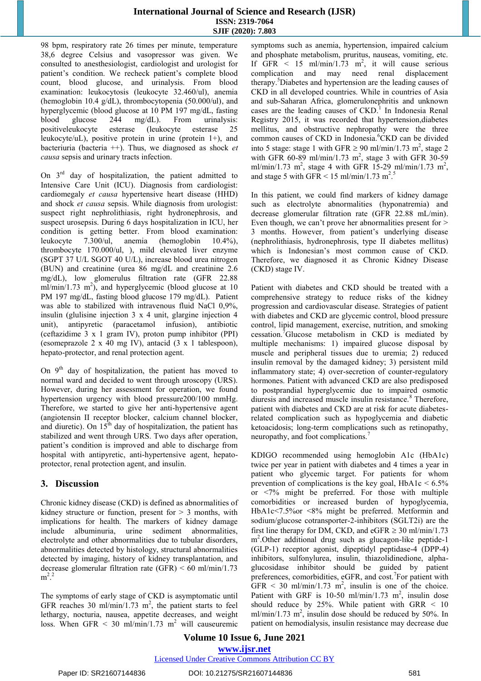### **International Journal of Science and Research (IJSR) ISSN: 2319-7064 SJIF (2020): 7.803**

98 bpm, respiratory rate 26 times per minute, temperature 38,6 degree Celsius and vasopressor was given. We consulted to anesthesiologist, cardiologist and urologist for patient's condition. We recheck patient's complete blood count, blood glucose, and urinalysis. From blood examination: leukocytosis (leukocyte 32.460/ul), anemia (hemoglobin 10.4 g/dL), thrombocytopenia (50.000/ul), and hyperglycemic (blood glucose at 10 PM 197 mg/dL, fasting blood glucose 244 mg/dL). From urinalysis: blood glucose 244 mg/dL). From urinalysis: positiveleukocyte esterase (leukocyte esterase 25 leukocyte/uL), positive protein in urine (protein 1+), and bacteriuria (bacteria ++). Thus, we diagnosed as shock *et causa* sepsis and urinary tracts infection.

On 3rd day of hospitalization, the patient admitted to Intensive Care Unit (ICU). Diagnosis from cardiologist: cardiomegaly *et causa* hypertensive heart disease (HHD) and shock *et causa* sepsis. While diagnosis from urologist: suspect right nephrolithiasis, right hydronephrosis, and suspect urosepsis. During 6 days hospitalization in ICU, her condition is getting better. From blood examination: leukocyte 7.300/ul, anemia (hemoglobin 10.4%), thrombocyte 170.000/ul, ), mild elevated liver enzyme (SGPT 37 U/L SGOT 40 U/L), increase blood urea nitrogen (BUN) and creatinine (urea 86 mg/dL and creatinine 2.6 mg/dL), low glomerulus filtration rate (GFR 22.88 ml/min/1.73 m<sup>2</sup>), and hyperglycemic (blood glucose at 10 PM 197 mg/dL, fasting blood glucose 179 mg/dL). Patient was able to stabilized with intravenous fluid NaCl 0,9%, insulin (glulisine injection 3 x 4 unit, glargine injection 4 unit), antipyretic (paracetamol infusion), antibiotic (ceftazidime 3 x 1 gram IV), proton pump inhibitor (PPI) (esomeprazole 2 x 40 mg IV), antacid (3 x 1 tablespoon), hepato-protector, and renal protection agent.

On  $9<sup>th</sup>$  day of hospitalization, the patient has moved to normal ward and decided to went through uroscopy (URS). However, during her assessment for operation, we found hypertension urgency with blood pressure200/100 mmHg. Therefore, we started to give her anti-hypertensive agent (angiotensin II receptor blocker, calcium channel blocker, and diuretic). On  $15<sup>th</sup>$  day of hospitalization, the patient has stabilized and went through URS. Two days after operation, patient's condition is improved and able to discharge from hospital with antipyretic, anti-hypertensive agent, hepatoprotector, renal protection agent, and insulin.

# **3. Discussion**

Chronic kidney disease (CKD) is defined as abnormalities of kidney structure or function, present for  $> 3$  months, with implications for health. The markers of kidney damage include albuminuria, urine sediment abnormalities, electrolyte and other abnormalities due to tubular disorders, abnormalities detected by histology, structural abnormalities detected by imaging, history of kidney transplantation, and decrease glomerular filtration rate (GFR) < 60 ml/min/1.73  $m^2$ <sup>2</sup>

The symptoms of early stage of CKD is asymptomatic until GFR reaches 30 ml/min/1.73 m<sup>2</sup>, the patient starts to feel lethargy, nocturia, nausea, appetite decreases, and weight loss. When GFR  $\leq$  30 ml/min/1.73 m<sup>2</sup> will causeuremic symptoms such as anemia, hypertension, impaired calcium and phosphate metabolism, pruritus, nauseas, vomiting, etc. If GFR  $\leq$  15 ml/min/1.73 m<sup>2</sup>, it will cause serious complication and may need renal displacement therapy.<sup>3</sup>Diabetes and hypertension are the leading causes of CKD in all developed countries. While in countries of Asia and sub-Saharan Africa, glomerulonephritis and unknown cases are the leading causes of  $CKD$ .<sup>1</sup> In Indonesia Renal Registry 2015, it was recorded that hypertension,diabetes mellitus, and obstructive nephropathy were the three common causes of CKD in Indonesia.<sup>6</sup>CKD can be divided into 5 stage: stage 1 with GFR  $\geq$  90 ml/min/1.73 m<sup>2</sup>, stage 2 with GFR 60-89 ml/min/1.73  $m^2$ , stage 3 with GFR 30-59 ml/min/1.73 m<sup>2</sup>, stage 4 with GFR 15-29 ml/min/1.73 m<sup>2</sup>, and stage 5 with GFR  $\leq$  15 ml/min/1.73 m<sup>2.5</sup>

In this patient, we could find markers of kidney damage such as electrolyte abnormalities (hyponatremia) and decrease glomerular filtration rate (GFR 22.88 mL/min). Even though, we can't prove her abnormalities present for > 3 months. However, from patient's underlying disease (nephrolithiasis, hydronephrosis, type II diabetes mellitus) which is Indonesian's most common cause of CKD. Therefore, we diagnosed it as Chronic Kidney Disease (CKD) stage IV.

Patient with diabetes and CKD should be treated with a comprehensive strategy to reduce risks of the kidney progression and cardiovascular disease. Strategies of patient with diabetes and CKD are glycemic control, blood pressure control, lipid management, exercise, nutrition, and smoking cessation.<sup>7</sup>Glucose metabolism in CKD is mediated by multiple mechanisms: 1) impaired glucose disposal by muscle and peripheral tissues due to uremia; 2) reduced insulin removal by the damaged kidney; 3) persistent mild inflammatory state; 4) over-secretion of counter-regulatory hormones. Patient with advanced CKD are also predisposed to postprandial hyperglycemic due to impaired osmotic diuresis and increased muscle insulin resistance.<sup>8</sup> Therefore, patient with diabetes and CKD are at risk for acute diabetesrelated complication such as hypoglycemia and diabetic ketoacidosis; long-term complications such as retinopathy, neuropathy, and foot complications.<sup>7</sup>

KDIGO recommended using hemoglobin A1c (HbA1c) twice per year in patient with diabetes and 4 times a year in patient who glycemic target. For patients for whom prevention of complications is the key goal,  $HbA1c < 6.5\%$ or <7% might be preferred. For those with multiple comorbidities or increased burden of hypoglycemia, HbA1c<7.5%or <8% might be preferred. Metformin and sodium/glucose cotransporter-2-inhibitors (SGLT2i) are the first line therapy for DM, CKD, and eGFR  $\geq$  30 ml/min/1.73 m<sup>2</sup>.Other additional drug such as glucagon-like peptide-1 (GLP-1) receptor agonist, dipeptidyl peptidase-4 (DPP-4) inhibitors, sulfonylurea, insulin, thiazolidinedione, alphaglucosidase inhibitor should be guided by patient preferences, comorbidities, eGFR, and cost.<sup>7</sup>For patient with  $GFR < 30$  ml/min/1.73 m<sup>2</sup>, insulin is one of the choice. Patient with GRF is 10-50 ml/min/1.73 m<sup>2</sup>, insulin dose should reduce by 25%. While patient with GRR < 10  $m/min/1.73$  m<sup>2</sup>, insulin dose should be reduced by 50%. In patient on hemodialysis, insulin resistance may decrease due

**Volume 10 Issue 6, June 2021 www.ijsr.net** Licensed Under Creative Commons Attribution CC BY